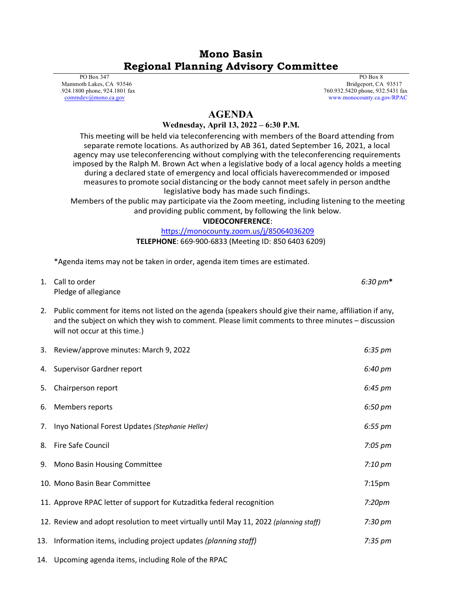# **Mono Basin Regional Planning Advisory Committee**

 PO Box 347 Mammoth Lakes, CA 93546 .924.1800 phone, 924.1801 fax [commdev@mono.ca.gov](mailto:commdev@mono.ca.gov)

 PO Box 8 Bridgeport, CA 93517 760.932.5420 phone, 932.5431 fax www.monocounty.ca.gov/RPAC

## **AGENDA**

#### **Wednesday, April 13, 2022 – 6:30 P.M.**

This meeting will be held via teleconferencing with members of the Board attending from separate remote locations. As authorized by AB 361, dated September 16, 2021, a local agency may use teleconferencing without complying with the teleconferencing requirements imposed by the Ralph M. Brown Act when a legislative body of a local agency holds a meeting during a declared state of emergency and local officials haverecommended or imposed measuresto promote social distancing or the body cannot meetsafely in person andthe legislative body has made such findings.

Members of the public may participate via the Zoom meeting, including listening to the meeting and providing public comment, by following the link below.

**VIDEOCONFERENCE**:

#### <https://monocounty.zoom.us/j/85064036209>

**TELEPHONE**: 669-900-6833 (Meeting ID: 850 6403 6209)

\*Agenda items may not be taken in order, agenda item times are estimated.

| 1. Call to order     | $6:30 \text{ pm*}$ |
|----------------------|--------------------|
| Pledge of allegiance |                    |

2. Public comment for items not listed on the agenda (speakers should give their name, affiliation if any, and the subject on which they wish to comment. Please limit comments to three minutes – discussion will not occur at this time.)

| 3. | Review/approve minutes: March 9, 2022                                                 | 6:35 pm             |
|----|---------------------------------------------------------------------------------------|---------------------|
| 4. | <b>Supervisor Gardner report</b>                                                      | 6:40 pm             |
| 5. | Chairperson report                                                                    | 6:45 pm             |
| 6. | Members reports                                                                       | 6:50 pm             |
| 7. | Inyo National Forest Updates (Stephanie Heller)                                       | $6:55 \, \text{pm}$ |
| 8. | Fire Safe Council                                                                     | $7:05 \text{ pm}$   |
|    | 9. Mono Basin Housing Committee                                                       | $7:10~\mathrm{pm}$  |
|    | 10. Mono Basin Bear Committee                                                         | 7:15 <sub>pm</sub>  |
|    | 11. Approve RPAC letter of support for Kutzaditka federal recognition                 | 7:20 <sub>pm</sub>  |
|    | 12. Review and adopt resolution to meet virtually until May 11, 2022 (planning staff) | $7:30 \text{ pm}$   |
|    | 13. Information items, including project updates (planning staff)                     | $7:35 \text{ pm}$   |
|    | 14. Upcoming agenda items, including Role of the RPAC                                 |                     |